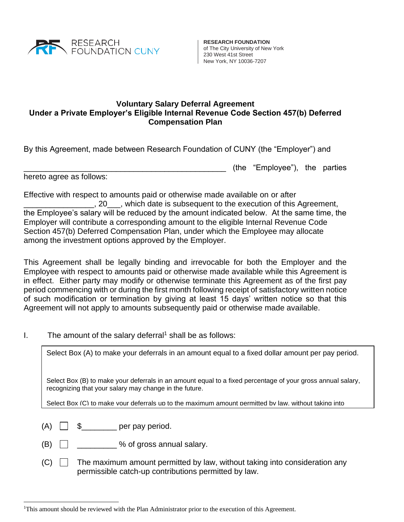

**RESEARCH FOUNDATION** of The City University of New York 230 West 41st Street New York, NY 10036-7207

(the "Employee"), the parties

## **Voluntary Salary Deferral Agreement Under a Private Employer's Eligible Internal Revenue Code Section 457(b) Deferred Compensation Plan**

By this Agreement, made between Research Foundation of CUNY (the "Employer") and

hereto agree as follows:

Effective with respect to amounts paid or otherwise made available on or after **10.1.1.20** , which date is subsequent to the execution of this Agreement, the Employee's salary will be reduced by the amount indicated below. At the same time, the Employer will contribute a corresponding amount to the eligible Internal Revenue Code Section 457(b) Deferred Compensation Plan, under which the Employee may allocate among the investment options approved by the Employer.

This Agreement shall be legally binding and irrevocable for both the Employer and the Employee with respect to amounts paid or otherwise made available while this Agreement is in effect. Either party may modify or otherwise terminate this Agreement as of the first pay period commencing with or during the first month following receipt of satisfactory written notice of such modification or termination by giving at least 15 days' written notice so that this Agreement will not apply to amounts subsequently paid or otherwise made available.

I. The amount of the salary deferral<sup>1</sup> shall be as follows:

Select Box (A) to make your deferrals in an amount equal to a fixed dollar amount per pay period.

Select Box (B) to make your deferrals in an amount equal to a fixed percentage of your gross annual salary, recognizing that your salary may change in the future.

consideration any permissible catch-up contribution. You may elect to make catch-up contributions pursuant

Select Box (C) to make your deferrals up to the maximum amount permitted by law, without taking into

- $(A)$   $\Box$   $\Omega$   $\Box$   $\Box$  per pay period. to Section II below.
- $(B)$   $\Box$   $\Box$   $\Diamond$  of gross annual salary.
- $(C)$  The maximum amount permitted by law, without taking into consideration any permissible catch-up contributions permitted by law.

<sup>1</sup>This amount should be reviewed with the Plan Administrator prior to the execution of this Agreement.